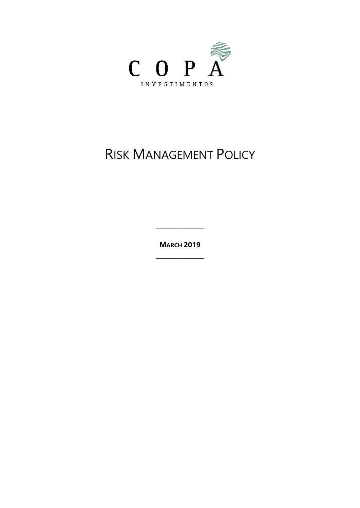

# **RISK MANAGEMENT POLICY**

**MARCH 2019**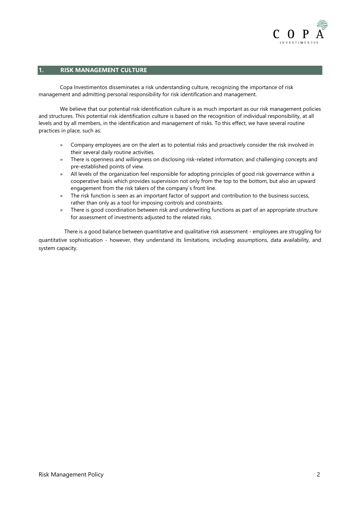

# **1. RISK MANAGEMENT CULTURE**

Copa Investimentos disseminates a risk understanding culture, recognizing the importance of risk management and admitting personal responsibility for risk identification and management.

We believe that our potential risk identification culture is as much important as our risk management policies and structures. This potential risk identification culture is based on the recognition of individual responsibility, at all levels and by all members, in the identification and management of risks. To this effect, we have several routine practices in place, such as:

- » Company employees are on the alert as to potential risks and proactively consider the risk involved in their several daily routine activities.
- » There is openness and willingness on disclosing risk-related information, and challenging concepts and pre-established points of view.
- » All levels of the organization feel responsible for adopting principles of good risk governance within a cooperative basis which provides supervision not only from the top to the bottom, but also an upward engagement from the risk takers of the company´s front line.
- » The risk function is seen as an important factor of support and contribution to the business success, rather than only as a tool for imposing controls and constraints.
- » There is good coordination between risk and underwriting functions as part of an appropriate structure for assessment of investments adjusted to the related risks.

There is a good balance between quantitative and qualitative risk assessment - employees are struggling for quantitative sophistication - however, they understand its limitations, including assumptions, data availability, and system capacity.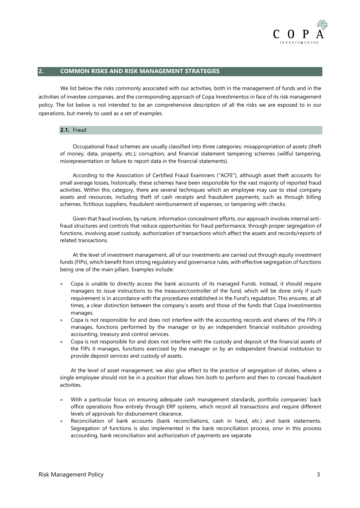

# **2. COMMON RISKS AND RISK MANAGEMENT STRATEGIES**

We list below the risks commonly associated with our activities, both in the management of funds and in the activities of investee companies, and the corresponding approach of Copa Investimentos in face of its risk management policy. The list below is not intended to be an comprehensive description of all the risks we are exposed to in our operations, but merely to used as a set of examples.

## **2.1.** Fraud

Occupational fraud schemes are usually classified into three categories: misappropriation of assets (theft of money, data, property, etc.); corruption; and financial statement tampering schemes (willful tampering, misrepresentation or failure to report data in the financial statements).

According to the Association of Certified Fraud Examiners ("ACFE"), although asset theft accounts for small average losses, historically, these schemes have been responsible for the vast majority of reported fraud activities. Within this category, there are several techniques which an employee may use to steal company assets and resources, including theft of cash receipts and fraudulent payments, such as through billing schemes, fictitious suppliers, fraudulent reimbursement of expenses, or tampering with checks.

Given that fraud involves, by nature, information concealment efforts, our approach involves internal antifraud structures and controls that reduce opportunities for fraud performance, through proper segregation of functions, involving asset custody, authorization of transactions which affect the assets and records/reports of related transactions.

At the level of investment management, all of our investments are carried out through equity investment funds (FIPs), which benefit from strong regulatory and governance rules, with effective segregation of functions being one of the main pillars. Examples include:

- » Copa is unable to directly access the bank accounts of its managed Funds. Instead, it should require managers to issue instructions to the treasurer/controller of the fund, which will be done only if such requirement is in accordance with the procedures established in the Fund's regulation. This ensures, at all times, a clear distinction between the company´s assets and those of the funds that Copa Investimentos manages.
- » Copa is not responsible for and does not interfere with the accounting records and shares of the FIPs it manages, functions performed by the manager or by an independent financial institution providing accounting, treasury and control services.
- » Copa is not responsible for and does not interfere with the custody and deposit of the financial assets of the FIPs it manages, functions exercised by the manager or by an independent financial institution to provide deposit services and custody of assets.

At the level of asset management, we also give effect to the practice of segregation of duties, where a single employee should not be in a position that allows him both to perform and then to conceal fraudulent activities.

- » With a particular focus on ensuring adequate cash management standards, portfolio companies' back office operations flow entirely through ERP systems, which record all transactions and require different levels of approvals for disbursement clearance.
- » Reconciliation of bank accounts (bank reconciliations, cash in hand, etc.) and bank statements. Segregation of functions is also implemented in the bank reconciliation process, onvr in this process accounting, bank reconciliation and authorization of payments are separate.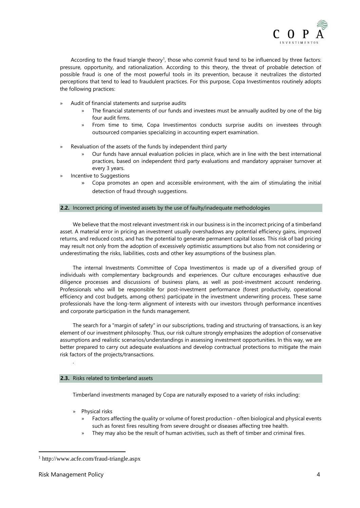

According to the fraud triangle theory<sup>1</sup>, those who commit fraud tend to be influenced by three factors: pressure, opportunity, and rationalization. According to this theory, the threat of probable detection of possible fraud is one of the most powerful tools in its prevention, because it neutralizes the distorted perceptions that tend to lead to fraudulent practices. For this purpose, Copa Investimentos routinely adopts the following practices:

- » Audit of financial statements and surprise audits
	- » The financial statements of our funds and investees must be annually audited by one of the big four audit firms.
	- » From time to time, Copa Investimentos conducts surprise audits on investees through outsourced companies specializing in accounting expert examination.
- » Revaluation of the assets of the funds by independent third party
	- » Our funds have annual evaluation policies in place, which are in line with the best international practices, based on independent third party evaluations and mandatory appraiser turnover at every 3 years.
- Incentive to Suggestions
	- » Copa promotes an open and accessible environment, with the aim of stimulating the initial detection of fraud through suggestions.

## **2.2.** Incorrect pricing of invested assets by the use of faulty/inadequate methodologies

We believe that the most relevant investment risk in our business is in the incorrect pricing of a timberland asset. A material error in pricing an investment usually overshadows any potential efficiency gains, improved returns, and reduced costs, and has the potential to generate permanent capital losses. This risk of bad pricing may result not only from the adoption of excessively optimistic assumptions but also from not considering or underestimating the risks, liabilities, costs and other key assumptions of the business plan.

The internal Investments Committee of Copa Investimentos is made up of a diversified group of individuals with complementary backgrounds and experiences. Our culture encourages exhaustive due diligence processes and discussions of business plans, as well as post-investment account rendering. Professionals who will be responsible for post-investment performance (forest productivity, operational efficiency and cost budgets, among others) participate in the investment underwriting process. These same professionals have the long-term alignment of interests with our investors through performance incentives and corporate participation in the funds management.

The search for a "margin of safety" in our subscriptions, trading and structuring of transactions, is an key element of our investment philosophy. Thus, our risk culture strongly emphasizes the adoption of conservative assumptions and realistic scenarios/understandings in assessing investment opportunities. In this way, we are better prepared to carry out adequate evaluations and develop contractual protections to mitigate the main risk factors of the projects/transactions.

## **2.3.** Risks related to timberland assets

Timberland investments managed by Copa are naturally exposed to a variety of risks including:

- » Physical risks
	- » Factors affecting the quality or volume of forest production often biological and physical events such as forest fires resulting from severe drought or diseases affecting tree health.
	- They may also be the result of human activities, such as theft of timber and criminal fires.

.

<sup>1</sup> http://www.acfe.com/fraud-triangle.aspx